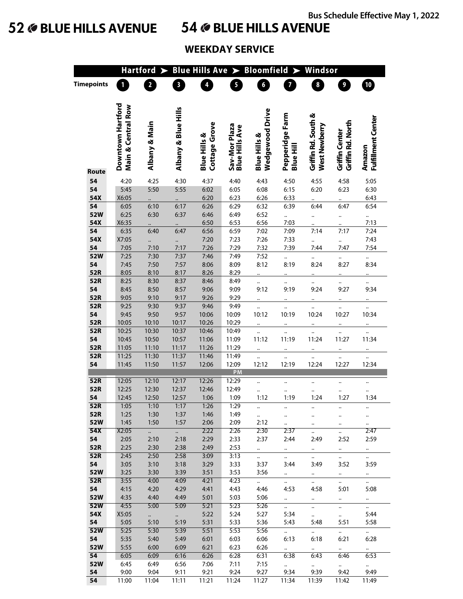# **52 BLUE HILLS AVENUE 54 BLUE HILLS AVENUE**

## **WEEKDAY SERVICE**

|                   | Blue Hills Ave $\blacktriangleright$<br>Bloomfield ><br>Windsor<br><b>Hartford</b> |                         |                         |                                          |                                        |                                            |                                     |                                      |                                     |                              |  |  |
|-------------------|------------------------------------------------------------------------------------|-------------------------|-------------------------|------------------------------------------|----------------------------------------|--------------------------------------------|-------------------------------------|--------------------------------------|-------------------------------------|------------------------------|--|--|
| <b>Timepoints</b> |                                                                                    | $\overline{\mathbf{c}}$ | $\overline{\mathbf{3}}$ | 4                                        | 5                                      | 6 <sup>2</sup>                             | 7                                   | $\overline{\mathbf{8}}$              | $\overline{\mathbf{9}}$             | $\mathbf{D}$                 |  |  |
|                   | Downtown Hartford<br>Main & Central Row                                            | Albany & Main           | Albany & Blue Hills     | Cottage Grove<br><b>Blue Hills &amp;</b> | Sav-Mor Plaza<br><b>Blue Hills Ave</b> | Wedgewood Drive<br><b>Blue Hills &amp;</b> | Pepperidge Farm<br><b>Blue Hill</b> | Griffin Rd. South &<br>West Newberry | Griffin Rd. North<br>Griffin Center | Fulfillment Center<br>Amazon |  |  |
| Route             |                                                                                    |                         |                         |                                          |                                        |                                            |                                     |                                      |                                     |                              |  |  |
| 54<br>54          | 4:20<br>5:45                                                                       | 4:25<br>5:50            | 4:30<br>5:55            | 4:37<br>6:02                             | 4:40<br>6:05                           | 4:43<br>6:08                               | 4:50<br>6:15                        | 4:55<br>6:20                         | 4:58<br>6:23                        | 5:05<br>6:30                 |  |  |
| 54X               | X6:05                                                                              |                         |                         | 6:20                                     | 6:23                                   | 6:26                                       | 6:33                                |                                      |                                     | 6:43                         |  |  |
| 54                | 6:05                                                                               | 6:10                    | 6:17                    | 6:26                                     | 6:29                                   | 6:32                                       | 6:39                                | 6:44                                 | 6:47                                | 6:54                         |  |  |
| 52W               | 6:25                                                                               | 6:30                    | 6:37                    | 6:46                                     | 6:49                                   | 6:52                                       | $\ddot{\cdot}$                      | $\ddot{\phantom{0}}$                 |                                     |                              |  |  |
| 54X               | X6:35                                                                              |                         |                         | 6:50                                     | 6:53                                   | 6:56                                       | 7:03                                |                                      |                                     | 7:13                         |  |  |
| 54                | 6:35                                                                               | 6:40                    | 6:47                    | 6:56                                     | 6:59                                   | 7:02                                       | 7:09                                | 7:14                                 | 7:17                                | 7:24                         |  |  |
| 54X               | X7:05                                                                              | $\ddot{\cdot}$          | $\ddot{\phantom{a}}$    | 7:20                                     | 7:23                                   | 7:26                                       | 7:33                                | $\ddotsc$                            | $\ddot{\phantom{a}}$                | 7:43                         |  |  |
| 54                | 7:05                                                                               | 7:10                    | 7:17                    | 7:26                                     | 7:29                                   | 7:32                                       | 7:39                                | 7:44                                 | 7:47                                | 7:54                         |  |  |
| 52W               | 7:25                                                                               | 7:30                    | 7:37                    | 7:46                                     | 7:49                                   | 7:52                                       |                                     |                                      |                                     |                              |  |  |
| 54                | 7:45                                                                               | 7:50                    | 7:57                    | 8:06                                     | 8:09                                   | 8:12                                       | 8:19                                | 8:24                                 | 8:27                                | 8:34                         |  |  |
| 52R               | 8:05                                                                               | 8:10                    | 8:17                    | 8:26                                     | 8:29                                   |                                            |                                     |                                      |                                     |                              |  |  |
| 52R               | 8:25                                                                               | 8:30                    | 8:37                    | 8:46                                     | 8:49                                   |                                            |                                     |                                      |                                     |                              |  |  |
| 54                | 8:45                                                                               | 8:50                    | 8:57                    | 9:06                                     | 9:09                                   | 9:12                                       | 9:19                                | 9:24                                 | 9:27                                | 9:34                         |  |  |
| 52R<br>52R        | 9:05<br>9:25                                                                       | 9:10<br>9:30            | 9:17<br>9:37            | 9:26<br>9:46                             | 9:29<br>9:49                           |                                            |                                     |                                      |                                     |                              |  |  |
| 54                | 9:45                                                                               | 9:50                    | 9:57                    | 10:06                                    | 10:09                                  | 10:12                                      | 10:19                               | 10:24                                | <br>10:27                           | 10:34                        |  |  |
| 52R               | 10:05                                                                              | 10:10                   | 10:17                   | 10:26                                    | 10:29                                  |                                            |                                     |                                      |                                     |                              |  |  |
| 52R               | 10:25                                                                              | 10:30                   | 10:37                   | 10:46                                    | 10:49                                  |                                            |                                     |                                      |                                     |                              |  |  |
| 54                | 10:45                                                                              | 10:50                   | 10:57                   | 11:06                                    | 11:09                                  | 11:12                                      | 11:19                               | 11:24                                | 11:27                               | 11:34                        |  |  |
| 52R               | 11:05                                                                              | 11:10                   | 11:17                   | 11:26                                    | 11:29                                  |                                            |                                     |                                      |                                     |                              |  |  |
| 52R               | 11:25                                                                              | 11:30                   | 11:37                   | 11:46                                    | 11:49                                  |                                            |                                     |                                      |                                     |                              |  |  |
| 54                | 11:45                                                                              | 11:50                   | 11:57                   | 12:06                                    | 12:09                                  | 12:12                                      | 12:19                               | 12:24                                | 12:27                               | 12:34                        |  |  |
|                   |                                                                                    |                         |                         |                                          | PM                                     |                                            |                                     |                                      |                                     |                              |  |  |
| 52R               | 12:05                                                                              | 12:10                   | 12:17                   | 12:26                                    | 12:29                                  |                                            |                                     |                                      |                                     |                              |  |  |
| 52R               | 12:25                                                                              | 12:30                   | 12:37                   | 12:46                                    | 12:49                                  |                                            |                                     |                                      |                                     |                              |  |  |
| 54                | 12:45                                                                              | 12:50                   | 12:57                   | 1:06                                     | 1:09                                   | 1:12                                       | 1:19                                | 1:24                                 | 1:27                                | 1:34                         |  |  |
| 52R               | 1:05                                                                               | 1:10                    | 1:17                    | 1:26                                     | 1:29                                   |                                            |                                     |                                      |                                     |                              |  |  |
| 52R<br>52W        | 1:25<br>1:45                                                                       | 1:30<br>1:50            | 1:37<br>1:57            | 1:46<br>2:06                             | 1:49<br>2:09                           | $\ddot{\phantom{0}}$<br>2:12               |                                     | $\ddotsc$                            | $\ddotsc$                           |                              |  |  |
| 54X               | X2:05                                                                              | $\overline{a}$          | $\ddot{\phantom{a}}$    | 2:22                                     | 2:26                                   | 2:30                                       | <br>2:37                            | $\ddotsc$<br>$\ddot{\phantom{1}}$    | $\ddotsc$                           | <br>2:47                     |  |  |
| 54                | 2:05                                                                               | 2:10                    | 2:18                    | 2:29                                     | 2:33                                   | 2:37                                       | 2:44                                | 2:49                                 | $\ddotsc$<br>2:52                   | 2:59                         |  |  |
| 52R               | 2:25                                                                               | 2:30                    | 2:38                    | 2:49                                     | 2:53                                   | $\mathbf{a}$                               | $\mathbf{a}$ .                      | $\mathbf{a}$                         | $\ddot{\phantom{1}}$                | $\cdots$                     |  |  |
| 52R               | 2:45                                                                               | 2:50                    | 2:58                    | 3:09                                     | 3:13                                   | $\ddot{\phantom{0}}$                       | $\ddotsc$                           | $\ddotsc$                            | $\ddotsc$                           | $\ddot{\phantom{0}}$         |  |  |
| 54                | 3:05                                                                               | 3:10                    | 3:18                    | 3:29                                     | 3:33                                   | 3:37                                       | 3:44                                | 3:49                                 | 3:52                                | 3:59                         |  |  |
| 52W               | 3:25                                                                               | 3:30                    | 3:39                    | 3:51                                     | 3:53                                   | 3:56                                       | $\ddot{\phantom{0}}$                | $\sim$ $-$                           | $\ddot{\phantom{0}}$                | $\ddotsc$                    |  |  |
| 52R               | 3:55                                                                               | 4:00                    | 4:09                    | 4:21                                     | 4:23                                   | $\ddot{\phantom{0}}$                       | $\ddotsc$                           | $\ddot{\phantom{0}}$                 | $\ddotsc$                           | $\ddotsc$                    |  |  |
| 54                | 4:15                                                                               | 4:20                    | 4:29                    | 4:41                                     | 4:43                                   | 4:46                                       | 4:53                                | 4:58                                 | 5:01                                | 5:08                         |  |  |
| 52W               | 4:35                                                                               | 4:40                    | 4:49                    | 5:01                                     | 5:03                                   | 5:06                                       | $\sim$                              | $\ddotsc$                            | $\ddotsc$                           | $\ddot{\phantom{a}}$         |  |  |
| <b>52W</b>        | 4:55                                                                               | 5:00                    | 5:09                    | 5:21                                     | 5:23                                   | 5:26                                       | $\ddot{\phantom{0}}$                | $\ddotsc$                            | $\ddot{\phantom{a}}$                | $\ddot{\phantom{0}}$         |  |  |
| 54X               | X5:05                                                                              | $\ddot{\phantom{a}}$    | $\mathbf{a}^{\dagger}$  | 5:22                                     | 5:24                                   | 5:27                                       | 5:34                                | $\ddotsc$                            | $\ddot{\phantom{0}}$                | 5:44                         |  |  |
| 54<br>52W         | 5:05<br>5:25                                                                       | 5:10<br>5:30            | 5:19<br>5:39            | 5:31<br>5:51                             | 5:33<br>5:53                           | 5:36<br>5:56                               | 5:43                                | 5:48                                 | 5:51                                | 5:58                         |  |  |
| 54                | 5:35                                                                               | 5:40                    | 5:49                    | 6:01                                     | 6:03                                   | 6:06                                       | $\frac{1}{2}$ .<br>6:13             | $\omega_{\rm{eff}}$<br>6:18          | $\ddotsc$<br>6:21                   | $\mathbf{a}$<br>6:28         |  |  |
| <b>52W</b>        | 5:55                                                                               | 6:00                    | 6:09                    | 6:21                                     | 6:23                                   | 6:26                                       | $\ddot{\phantom{0}}$                |                                      |                                     |                              |  |  |
| 54                | 6:05                                                                               | 6:09                    | 6:16                    | 6:26                                     | 6:28                                   | 6:31                                       | 6:38                                | $\ddotsc$<br>6:43                    | $\cdot$<br>6:46                     | 6:53                         |  |  |
| 52W               | 6:45                                                                               | 6:49                    | 6:56                    | 7:06                                     | 7:11                                   | 7:15                                       | $\mathbb{Z}^{\mathbb{Z}}$           | $\ddot{\phantom{a}}$                 | $\cdots$                            | $\ddotsc$                    |  |  |
| 54                | 9:00                                                                               | 9:04                    | 9:11                    | 9:21                                     | 9:24                                   | 9:27                                       | 9:34                                | 9:39                                 | 9:42                                | 9:49                         |  |  |
| 54                | 11:00                                                                              | 11:04                   | 11:11                   | 11:21                                    | 11:24                                  | 11:27                                      | 11:34                               | 11:39                                | 11:42                               | 11:49                        |  |  |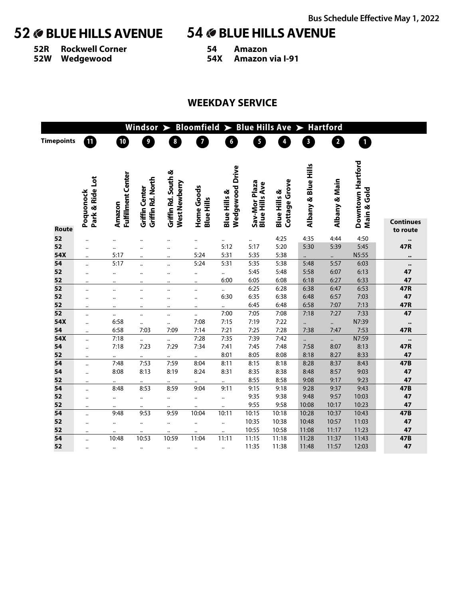**52R Rockwell Corner 52W Wedgewood**

# **52 BLUE HILLS AVENUE 54 BLUE HILLS AVENUE**

- **54 Amazon**
	- **54X Amazon via I-91**

## **WEEKDAY SERVICE**

| <b>Bloomfield</b><br>> Blue Hills Ave<br><b>Hartford</b><br>Windsor<br>$\blacktriangleright$<br>$\blacktriangleright$ |                              |                                     |                                     |                                              |                                 |                                                   |                                        |                                          |                         |                         |                                  |                            |
|-----------------------------------------------------------------------------------------------------------------------|------------------------------|-------------------------------------|-------------------------------------|----------------------------------------------|---------------------------------|---------------------------------------------------|----------------------------------------|------------------------------------------|-------------------------|-------------------------|----------------------------------|----------------------------|
| <b>Timepoints</b>                                                                                                     | $\blacksquare$               | $\boxed{10}$                        | 9                                   | 8                                            | $\overline{7}$                  | $\boldsymbol{6}$                                  | 5                                      | 4                                        | $\overline{\mathbf{3}}$ | $\overline{\mathbf{2}}$ | $\overline{\mathbf{1}}$          |                            |
|                                                                                                                       | Park & Ride Lot<br>Poquonock | <b>Fulfillment Center</b><br>Amazon | Griffin Rd. North<br>Griffin Center | Griffin Rd. South &<br>West Newberry         | Home Goods<br><b>Blue Hills</b> | <b>Wedgewood Drive</b><br><b>Blue Hills &amp;</b> | Sav-Mor Plaza<br><b>Blue Hills Ave</b> | Cottage Grove<br><b>Blue Hills &amp;</b> | Albany & Blue Hills     | Albany & Main           | Downtown Hartford<br>Main & Gold | <b>Continues</b>           |
| Route<br>52                                                                                                           |                              |                                     |                                     |                                              |                                 |                                                   |                                        | 4:25                                     | 4:35                    | 4:44                    | 4:50                             | to route                   |
| 52                                                                                                                    | $\ddotsc$                    | $\ddot{\phantom{a}}$                | $\ddot{\phantom{a}}$                | $\ddot{\phantom{a}}$                         |                                 | <br>5:12                                          | $\ddotsc$<br>5:17                      | 5:20                                     | 5:30                    | 5:39                    | 5:45                             | $\bullet\bullet$<br>47R    |
| 54X                                                                                                                   |                              | <br>5:17                            |                                     | $\ddotsc$                                    | $\ddotsc$<br>5:24               | 5:31                                              | 5:35                                   | 5:38                                     |                         |                         | N5:55                            |                            |
| 54                                                                                                                    | $\ddotsc$<br>                | 5:17                                |                                     | $\ddot{\phantom{a}}$<br>$\ddot{\phantom{a}}$ | 5:24                            | 5:31                                              | 5:35                                   | 5:38                                     | $\ddotsc$<br>5:48       | <br>5:57                | 6:03                             |                            |
| 52                                                                                                                    |                              | $\ddot{\phantom{a}}$                |                                     | $\ddot{\phantom{a}}$                         | $\ddotsc$                       | $\ddotsc$                                         | 5:45                                   | 5:48                                     | 5:58                    | 6:07                    | 6:13                             | $\ddot{\phantom{0}}$<br>47 |
| 52                                                                                                                    | $\ddotsc$                    |                                     |                                     | $\ddot{\phantom{a}}$                         |                                 | 6:00                                              | 6:05                                   | 6:08                                     | 6:18                    | 6:27                    | 6:33                             | 47                         |
| 52                                                                                                                    | $\ddotsc$                    |                                     | $\ddot{\phantom{a}}$                | $\ddot{\phantom{a}}$                         |                                 | $\ddotsc$                                         | 6:25                                   | 6:28                                     | 6:38                    | 6:47                    | 6:53                             | 47R                        |
| 52                                                                                                                    | $\ddotsc$                    |                                     |                                     |                                              | $\ddotsc$                       | 6:30                                              | 6:35                                   | 6:38                                     | 6:48                    | 6:57                    | 7:03                             | 47                         |
| 52                                                                                                                    |                              | $\ddot{\phantom{a}}$                |                                     | $\ddot{\phantom{a}}$                         |                                 | $\ddot{\phantom{a}}$                              | 6:45                                   | 6:48                                     | 6:58                    | 7:07                    | 7:13                             | 47R                        |
| 52                                                                                                                    |                              |                                     | $\ddotsc$                           | $\ddot{\phantom{a}}$                         | $\ddot{\phantom{a}}$            | 7:00                                              | 7:05                                   | 7:08                                     | 7:18                    | 7:27                    | 7:33                             | 47                         |
| 54X                                                                                                                   | $\ddotsc$                    | 6:58                                | $\ddotsc$                           |                                              | 7:08                            | 7:15                                              | 7:19                                   | 7:22                                     |                         |                         | N7:39                            | $\bullet\bullet$           |
| 54                                                                                                                    | $\ddot{\phantom{0}}$         | 6:58                                | 7:03                                | 7:09                                         | 7:14                            | 7:21                                              | 7:25                                   | 7:28                                     | 7:38                    | 7:47                    | 7:53                             | 47R                        |
| 54X                                                                                                                   | $\ddot{\phantom{a}}$         | 7:18                                |                                     | $\ddotsc$                                    | 7:28                            | 7:35                                              | 7:39                                   | 7:42                                     | $\ddotsc$               |                         | N7:59                            | $\bullet\bullet$           |
| 54                                                                                                                    | $\ddotsc$                    | 7:18                                | 7:23                                | 7:29                                         | 7:34                            | 7:41                                              | 7:45                                   | 7:48                                     | 7:58                    | 8:07                    | 8:13                             | 47R                        |
| 52                                                                                                                    | $\ddot{\phantom{a}}$         |                                     |                                     |                                              |                                 | 8:01                                              | 8:05                                   | 8:08                                     | 8:18                    | 8:27                    | 8:33                             | 47                         |
| 54                                                                                                                    | $\ddot{\phantom{a}}$         | 7:48                                | 7:53                                | 7:59                                         | 8:04                            | 8:11                                              | 8:15                                   | 8:18                                     | 8:28                    | 8:37                    | 8:43                             | 47B                        |
| 54                                                                                                                    | $\ddotsc$                    | 8:08                                | 8:13                                | 8:19                                         | 8:24                            | 8:31                                              | 8:35                                   | 8:38                                     | 8:48                    | 8:57                    | 9:03                             | 47                         |
| 52                                                                                                                    | $\ddot{\phantom{a}}$         |                                     |                                     |                                              |                                 |                                                   | 8:55                                   | 8:58                                     | 9:08                    | 9:17                    | 9:23                             | 47                         |
| 54                                                                                                                    | $\ddotsc$                    | 8:48                                | 8:53                                | 8:59                                         | 9:04                            | 9:11                                              | 9:15                                   | 9:18                                     | 9:28                    | 9:37                    | 9:43                             | 47B                        |
| 52                                                                                                                    |                              |                                     |                                     |                                              | $\ddot{\phantom{a}}$            |                                                   | 9:35                                   | 9:38                                     | 9:48                    | 9:57                    | 10:03                            | 47                         |
| 52                                                                                                                    | $\ddot{\phantom{a}}$         |                                     |                                     | $\ddotsc$                                    |                                 | $\ddot{\phantom{a}}$                              | 9:55                                   | 9:58                                     | 10:08                   | 10:17                   | 10:23                            | 47                         |
| 54                                                                                                                    | $\ddotsc$                    | 9:48                                | 9:53                                | 9:59                                         | 10:04                           | 10:11                                             | 10:15                                  | 10:18                                    | 10:28                   | 10:37                   | 10:43                            | $\overline{47B}$           |
| 52                                                                                                                    | $\ddotsc$                    | $\ddotsc$                           |                                     | $\ddotsc$                                    |                                 | $\ddotsc$                                         | 10:35                                  | 10:38                                    | 10:48                   | 10:57                   | 11:03                            | 47                         |
| 52                                                                                                                    | $\ddot{\phantom{a}}$         |                                     |                                     |                                              |                                 |                                                   | 10:55                                  | 10:58                                    | 11:08                   | 11:17                   | 11:23                            | 47                         |
| 54                                                                                                                    | $\ddot{\phantom{0}}$         | 10:48                               | 10:53                               | 10:59                                        | 11:04                           | 11:11                                             | 11:15                                  | 11:18                                    | 11:28                   | 11:37                   | 11:43                            | 47B                        |
| 52                                                                                                                    | $\ddotsc$                    |                                     | $\ddotsc$                           | $\ddotsc$                                    | $\ddotsc$                       | $\ddotsc$                                         | 11:35                                  | 11:38                                    | 11:48                   | 11:57                   | 12:03                            | 47                         |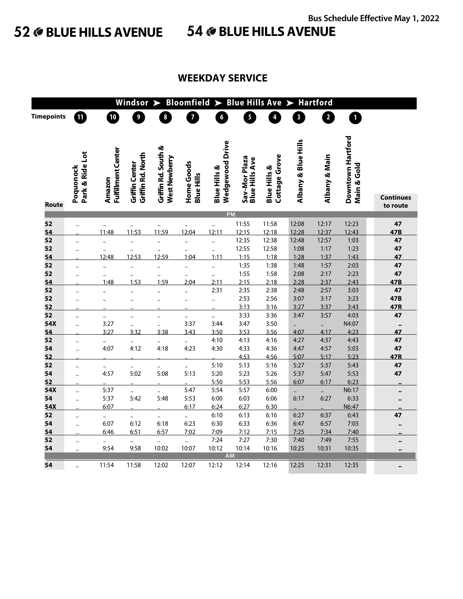# **52 BLUE HILLS AVENUE 54 BLUE HILLS AVENUE**

| <b>Bloomfield</b><br><b>Hartford</b><br>Windsor<br><b>Blue Hills Ave</b><br>$\blacktriangleright$<br>$\blacktriangleright$<br>$\blacktriangleright$ |                              |                                     |                                     |                                      |                                 |                                                   |                                        |                                          |                         |                      |                                  |                       |
|-----------------------------------------------------------------------------------------------------------------------------------------------------|------------------------------|-------------------------------------|-------------------------------------|--------------------------------------|---------------------------------|---------------------------------------------------|----------------------------------------|------------------------------------------|-------------------------|----------------------|----------------------------------|-----------------------|
| <b>Timepoints</b>                                                                                                                                   | ⑪                            | $\mathbf{I}^{\mathbf{0}}$           | $\overline{9}$                      | $\boldsymbol{8}$                     | $\overline{7}$                  | 6 <sup>1</sup>                                    | $\ddot{\bullet}$                       | $\overline{\mathbf{r}}$                  | $\overline{\mathbf{3}}$ | 2                    | 0                                |                       |
|                                                                                                                                                     |                              |                                     |                                     |                                      |                                 |                                                   |                                        |                                          |                         |                      |                                  |                       |
|                                                                                                                                                     |                              |                                     |                                     |                                      |                                 |                                                   |                                        |                                          |                         |                      |                                  |                       |
|                                                                                                                                                     | Park & Ride Lot<br>Poquonock | <b>Fulfillment Center</b><br>Amazon | Griffin Rd. North<br>Griffin Center | Griffin Rd. South &<br>West Newberry | Home Goods<br><b>Blue Hills</b> | <b>Wedgewood Drive</b><br><b>Blue Hills &amp;</b> | Sav-Mor Plaza<br><b>Blue Hills Ave</b> | Cottage Grove<br><b>Blue Hills &amp;</b> | Albany & Blue Hills     | Albany & Main        | Downtown Hartford<br>Main & Gold |                       |
| <b>Route</b>                                                                                                                                        |                              |                                     |                                     |                                      |                                 |                                                   |                                        |                                          |                         |                      |                                  | Continues<br>to route |
|                                                                                                                                                     |                              |                                     |                                     |                                      |                                 | PM                                                |                                        |                                          |                         |                      |                                  |                       |
| 52                                                                                                                                                  | $\ddot{\phantom{0}}$         |                                     |                                     |                                      |                                 |                                                   | 11:55                                  | 11:58                                    | 12:08                   | 12:17                | 12:23                            | 47                    |
| 54                                                                                                                                                  |                              | 11:48                               | 11:53                               | 11:59                                | 12:04                           | 12:11                                             | 12:15                                  | 12:18                                    | 12:28                   | 12:37                | 12:43                            | 47B                   |
| 52                                                                                                                                                  | $\ddot{\phantom{a}}$         |                                     |                                     |                                      |                                 |                                                   | 12:35                                  | 12:38                                    | 12:48                   | 12:57                | 1:03                             | 47                    |
| 52                                                                                                                                                  | $\ddotsc$                    | $\ddotsc$                           |                                     |                                      |                                 |                                                   | 12:55                                  | 12:58                                    | 1:08                    | 1:17                 | 1:23                             | 47                    |
| 54                                                                                                                                                  |                              | 12:48                               | 12:53                               | 12:59                                | 1:04                            | 1:11                                              | 1:15                                   | 1:18                                     | 1:28                    | 1:37                 | 1:43                             | 47                    |
| 52                                                                                                                                                  | $\ddot{\phantom{a}}$         |                                     |                                     |                                      |                                 |                                                   | 1:35                                   | 1:38                                     | 1:48                    | 1:57                 | 2:03                             | 47                    |
| 52                                                                                                                                                  | $\ddot{\phantom{a}}$         | $\ddotsc$                           |                                     |                                      |                                 |                                                   | 1:55                                   | 1:58                                     | 2:08                    | 2:17                 | 2:23                             | 47                    |
| 54                                                                                                                                                  |                              | 1:48                                | 1:53                                | 1:59                                 | 2:04                            | 2:11                                              | 2:15                                   | 2:18                                     | 2:28                    | 2:37                 | 2:43                             | 47B                   |
| 52                                                                                                                                                  |                              |                                     |                                     |                                      |                                 | 2:31                                              | 2:35                                   | 2:38                                     | 2:48                    | 2:57                 | 3:03                             | 47                    |
| 52                                                                                                                                                  | $\ddot{\phantom{a}}$         | $\ddot{\phantom{a}}$                |                                     |                                      |                                 |                                                   | 2:53                                   | 2:56                                     | 3:07                    | 3:17                 | 3:23                             | 47B                   |
| 52                                                                                                                                                  |                              |                                     |                                     |                                      |                                 |                                                   | 3:13                                   | 3:16                                     | 3:27                    | 3:37                 | 3:43                             | 47R                   |
| 52                                                                                                                                                  | $\ddotsc$                    | $\ddotsc$                           |                                     |                                      |                                 |                                                   | 3:33                                   | 3:36                                     | 3:47                    | 3:57                 | 4:03                             | 47                    |
| 54X                                                                                                                                                 | $\ddot{\phantom{a}}$         | 3:27                                |                                     |                                      | 3:37                            | 3:44                                              | 3:47                                   | 3:50                                     |                         | $\ddot{\cdot}$       | N4:07                            | $\bullet\bullet$      |
| 54                                                                                                                                                  |                              | 3:27                                | 3:32                                | 3:38                                 | 3:43                            | 3:50                                              | 3:53                                   | 3:56                                     | 4:07                    | 4:17                 | 4:23                             | 47                    |
| 52                                                                                                                                                  | $\ddotsc$                    | $\ldots$                            |                                     | $\ddotsc$                            |                                 | 4:10                                              | 4:13                                   | 4:16                                     | 4:27                    | 4:37                 | 4:43                             | 47                    |
| 54                                                                                                                                                  | $\ddot{\phantom{a}}$         | 4:07                                | 4:12                                | 4:18                                 | 4:23                            | 4:30                                              | 4:33                                   | 4:36                                     | 4:47                    | 4:57                 | 5:03                             | 47                    |
| 52                                                                                                                                                  |                              |                                     |                                     |                                      |                                 |                                                   | 4:53                                   | 4:56                                     | 5:07                    | 5:17                 | 5:23                             | 47R                   |
| 52                                                                                                                                                  | $\ddotsc$                    | $\ddotsc$                           |                                     | $\ddotsc$                            |                                 | 5:10                                              | 5:13                                   | 5:16                                     | 5:27                    | 5:37                 | 5:43                             | 47                    |
| 54                                                                                                                                                  | $\ddot{\phantom{a}}$         | 4:57                                | 5:02                                | 5:08                                 | 5:13                            | 5:20                                              | 5:23                                   | 5:26                                     | 5:37                    | 5:47                 | 5:53                             | 47                    |
| 52                                                                                                                                                  |                              |                                     |                                     |                                      |                                 | 5:50                                              | 5:53                                   | 5:56                                     | 6:07                    | 6:17                 | 6:23                             |                       |
| 54X                                                                                                                                                 | $\ddot{\phantom{a}}$         | 5:37                                | $\ddot{\phantom{a}}$                | $\ddot{\cdot}$                       | 5:47                            | 5:54                                              | 5:57                                   | 6:00                                     | $\ddot{\phantom{0}}$    | $\ddot{\phantom{a}}$ | N6:17                            | $\bullet\bullet$      |
| 54                                                                                                                                                  |                              | 5:37                                | 5:42                                | 5:48                                 | 5:53                            | 6:00                                              | 6:03                                   | 6:06                                     | 6:17                    | 6:27                 | 6:33                             | $\bullet\bullet$      |
| 54X                                                                                                                                                 |                              | 6:07                                |                                     |                                      | 6:17                            | 6:24                                              | 6:27                                   | 6:30                                     |                         |                      | N6:47                            |                       |
| 52                                                                                                                                                  | $\ddot{\phantom{a}}$         | $\ddot{\phantom{a}}$                | $\ddot{\phantom{a}}$                | ä,                                   | $\ddot{\phantom{0}}$            | 6:10                                              | 6:13                                   | 6:16                                     | 6:27                    | 6:37                 | 6:43                             | 47                    |
| 54                                                                                                                                                  |                              | 6:07                                | 6:12                                | 6:18                                 | 6:23                            | 6:30                                              | 6:33                                   | 6:36                                     | 6:47                    | 6:57                 | 7:03                             | $\bullet\bullet$      |
| 54                                                                                                                                                  |                              | 6:46                                | 6:51                                | 6:57                                 | 7:02                            | 7:09                                              | 7:12                                   | 7:15                                     | 7:25                    | 7:34                 | 7:40                             |                       |
| 52                                                                                                                                                  | $\ddot{\phantom{a}}$         | $\ldots$                            | $\ddotsc$                           | $\ddot{\cdot}$                       |                                 | 7:24                                              | 7:27                                   | 7:30                                     | 7:40                    | 7:49                 | 7:55                             | $\bullet\bullet$      |
| 54                                                                                                                                                  | $\ddotsc$                    | 9:54                                | 9:58                                | 10:02                                | 10:07                           | 10:12<br>AM                                       | 10:14                                  | 10:16                                    | 10:25                   | 10:31                | 10:35                            | $\bullet\bullet$      |
| 54                                                                                                                                                  |                              | 11:54                               | 11:58                               | 12:02                                |                                 | 12:12                                             |                                        |                                          | 12:25                   | 12:31                | 12:35                            |                       |
|                                                                                                                                                     |                              |                                     |                                     |                                      | 12:07                           |                                                   | 12:14                                  | 12:16                                    |                         |                      |                                  | $\bullet\bullet$      |

## **WEEKDAY SERVICE**